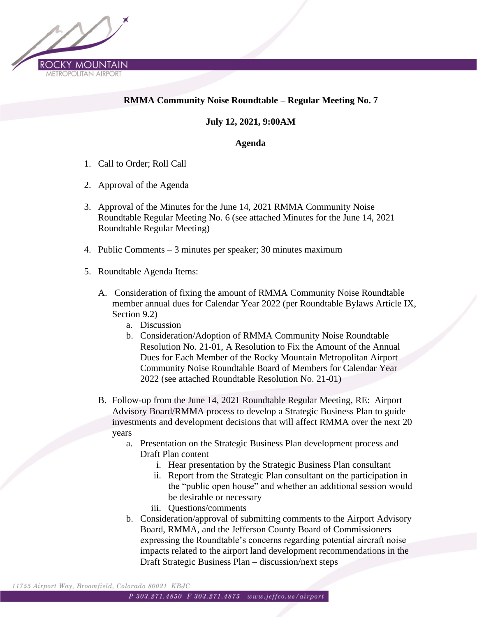

### **RMMA Community Noise Roundtable – Regular Meeting No. 7**

#### **July 12, 2021, 9:00AM**

#### **Agenda**

- 1. Call to Order; Roll Call
- 2. Approval of the Agenda
- 3. Approval of the Minutes for the June 14, 2021 RMMA Community Noise Roundtable Regular Meeting No. 6 (see attached Minutes for the June 14, 2021 Roundtable Regular Meeting)
- 4. Public Comments 3 minutes per speaker; 30 minutes maximum
- 5. Roundtable Agenda Items:
	- A. Consideration of fixing the amount of RMMA Community Noise Roundtable member annual dues for Calendar Year 2022 (per Roundtable Bylaws Article IX, Section 9.2)
		- a. Discussion
		- b. Consideration/Adoption of RMMA Community Noise Roundtable Resolution No. 21-01, A Resolution to Fix the Amount of the Annual Dues for Each Member of the Rocky Mountain Metropolitan Airport Community Noise Roundtable Board of Members for Calendar Year 2022 (see attached Roundtable Resolution No. 21-01)
	- B. Follow-up from the June 14, 2021 Roundtable Regular Meeting, RE: Airport Advisory Board/RMMA process to develop a Strategic Business Plan to guide investments and development decisions that will affect RMMA over the next 20 years
		- a. Presentation on the Strategic Business Plan development process and Draft Plan content
			- i. Hear presentation by the Strategic Business Plan consultant
			- ii. Report from the Strategic Plan consultant on the participation in the "public open house" and whether an additional session would be desirable or necessary
			- iii. Questions/comments
		- b. Consideration/approval of submitting comments to the Airport Advisory Board, RMMA, and the Jefferson County Board of Commissioners expressing the Roundtable's concerns regarding potential aircraft noise impacts related to the airport land development recommendations in the Draft Strategic Business Plan – discussion/next steps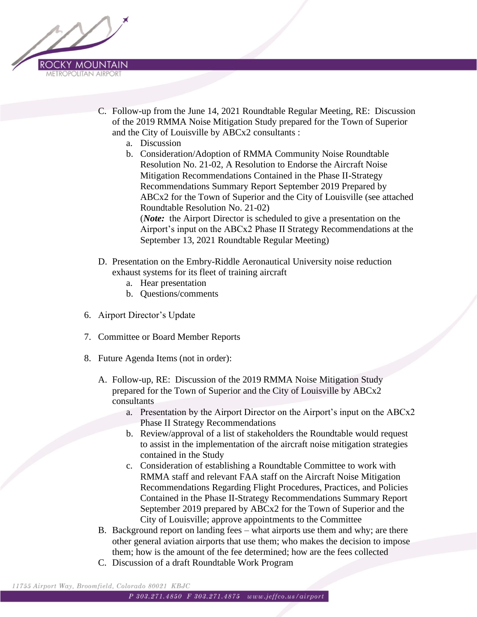

- C. Follow-up from the June 14, 2021 Roundtable Regular Meeting, RE: Discussion of the 2019 RMMA Noise Mitigation Study prepared for the Town of Superior and the City of Louisville by ABCx2 consultants :
	- a. Discussion
	- b. Consideration/Adoption of RMMA Community Noise Roundtable Resolution No. 21-02, A Resolution to Endorse the Aircraft Noise Mitigation Recommendations Contained in the Phase II-Strategy Recommendations Summary Report September 2019 Prepared by ABCx2 for the Town of Superior and the City of Louisville (see attached Roundtable Resolution No. 21-02) (*Note:* the Airport Director is scheduled to give a presentation on the Airport's input on the ABCx2 Phase II Strategy Recommendations at the September 13, 2021 Roundtable Regular Meeting)
- D. Presentation on the Embry-Riddle Aeronautical University noise reduction exhaust systems for its fleet of training aircraft
	- a. Hear presentation
	- b. Questions/comments
- 6. Airport Director's Update
- 7. Committee or Board Member Reports
- 8. Future Agenda Items (not in order):
	- A. Follow-up, RE: Discussion of the 2019 RMMA Noise Mitigation Study prepared for the Town of Superior and the City of Louisville by ABCx2 consultants
		- a. Presentation by the Airport Director on the Airport's input on the ABCx2 Phase II Strategy Recommendations
		- b. Review/approval of a list of stakeholders the Roundtable would request to assist in the implementation of the aircraft noise mitigation strategies contained in the Study
		- c. Consideration of establishing a Roundtable Committee to work with RMMA staff and relevant FAA staff on the Aircraft Noise Mitigation Recommendations Regarding Flight Procedures, Practices, and Policies Contained in the Phase II-Strategy Recommendations Summary Report September 2019 prepared by ABCx2 for the Town of Superior and the City of Louisville; approve appointments to the Committee
	- B. Background report on landing fees what airports use them and why; are there other general aviation airports that use them; who makes the decision to impose them; how is the amount of the fee determined; how are the fees collected
	- C. Discussion of a draft Roundtable Work Program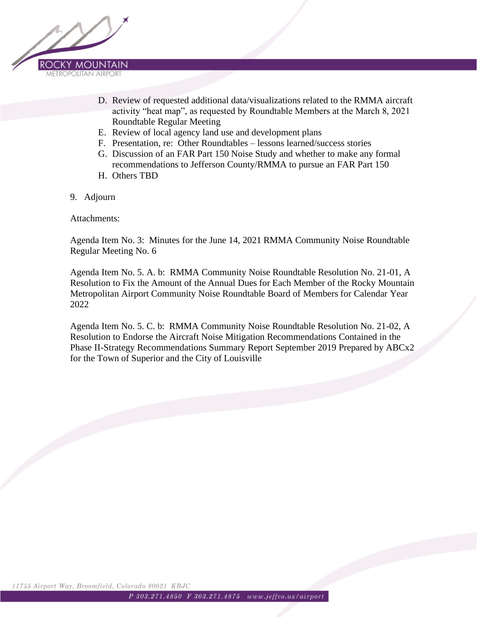

- D. Review of requested additional data/visualizations related to the RMMA aircraft activity "heat map", as requested by Roundtable Members at the March 8, 2021 Roundtable Regular Meeting
- E. Review of local agency land use and development plans
- F. Presentation, re: Other Roundtables lessons learned/success stories
- G. Discussion of an FAR Part 150 Noise Study and whether to make any formal recommendations to Jefferson County/RMMA to pursue an FAR Part 150
- H. Others TBD
- 9. Adjourn

Attachments:

Agenda Item No. 3: Minutes for the June 14, 2021 RMMA Community Noise Roundtable Regular Meeting No. 6

Agenda Item No. 5. A. b: RMMA Community Noise Roundtable Resolution No. 21-01, A Resolution to Fix the Amount of the Annual Dues for Each Member of the Rocky Mountain Metropolitan Airport Community Noise Roundtable Board of Members for Calendar Year 2022

Agenda Item No. 5. C. b: RMMA Community Noise Roundtable Resolution No. 21-02, A Resolution to Endorse the Aircraft Noise Mitigation Recommendations Contained in the Phase II-Strategy Recommendations Summary Report September 2019 Prepared by ABCx2 for the Town of Superior and the City of Louisville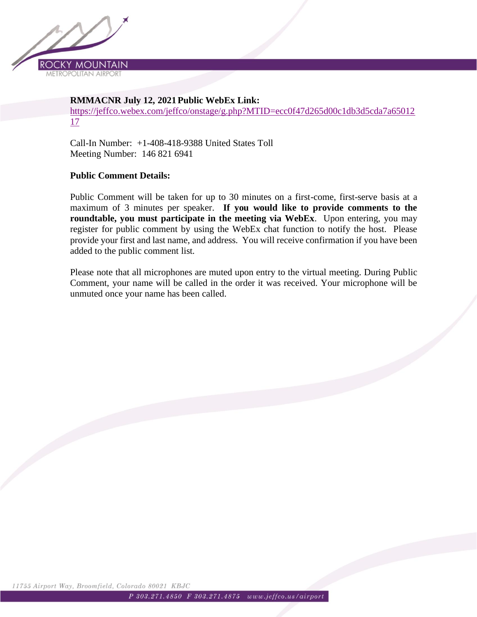

#### **RMMACNR July 12, 2021Public WebEx Link:**

[https://jeffco.webex.com/jeffco/onstage/g.php?MTID=ecc0f47d265d00c1db3d5cda7a65012](https://urldefense.com/v3/__https:/jeffco.webex.com/jeffco/onstage/g.php?MTID=ecc0f47d265d00c1db3d5cda7a6501217__;!!AimZMsSgOA4!7p8jydlzCVWWwNd0vIIMjDk4gP0ZwTfpRFCzc6p27V0BthgvvlSvkyNU8RuJQNI$) [17](https://urldefense.com/v3/__https:/jeffco.webex.com/jeffco/onstage/g.php?MTID=ecc0f47d265d00c1db3d5cda7a6501217__;!!AimZMsSgOA4!7p8jydlzCVWWwNd0vIIMjDk4gP0ZwTfpRFCzc6p27V0BthgvvlSvkyNU8RuJQNI$)

Call-In Number: +1-408-418-9388 United States Toll Meeting Number: 146 821 6941

#### **Public Comment Details:**

Public Comment will be taken for up to 30 minutes on a first-come, first-serve basis at a maximum of 3 minutes per speaker. **If you would like to provide comments to the roundtable, you must participate in the meeting via WebEx**. Upon entering, you may register for public comment by using the WebEx chat function to notify the host. Please provide your first and last name, and address. You will receive confirmation if you have been added to the public comment list.

Please note that all microphones are muted upon entry to the virtual meeting. During Public Comment, your name will be called in the order it was received. Your microphone will be unmuted once your name has been called.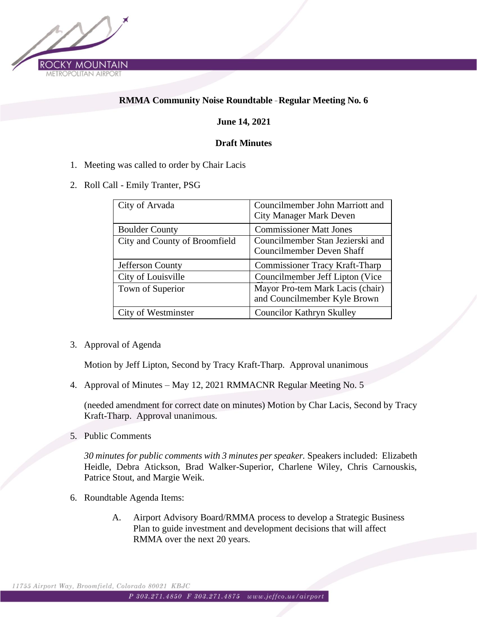

### **RMMA Community Noise Roundtable** – **Regular Meeting No. 6**

#### **June 14, 2021**

#### **Draft Minutes**

- 1. Meeting was called to order by Chair Lacis
- 2. Roll Call Emily Tranter, PSG

| City of Arvada                | Councilmember John Marriott and<br><b>City Manager Mark Deven</b> |
|-------------------------------|-------------------------------------------------------------------|
| <b>Boulder County</b>         | <b>Commissioner Matt Jones</b>                                    |
| City and County of Broomfield | Councilmember Stan Jezierski and<br>Councilmember Deven Shaff     |
| Jefferson County              | <b>Commissioner Tracy Kraft-Tharp</b>                             |
| City of Louisville            | Councilmember Jeff Lipton (Vice)                                  |
| Town of Superior              | Mayor Pro-tem Mark Lacis (chair)<br>and Councilmember Kyle Brown  |
| City of Westminster           | <b>Councilor Kathryn Skulley</b>                                  |

3. Approval of Agenda

Motion by Jeff Lipton, Second by Tracy Kraft-Tharp. Approval unanimous

4. Approval of Minutes – May 12, 2021 RMMACNR Regular Meeting No. 5

(needed amendment for correct date on minutes) Motion by Char Lacis, Second by Tracy Kraft-Tharp. Approval unanimous.

5. Public Comments

*30 minutes for public comments with 3 minutes per speaker.* Speakers included: Elizabeth Heidle, Debra Atickson, Brad Walker-Superior, Charlene Wiley, Chris Carnouskis, Patrice Stout, and Margie Weik.

- 6. Roundtable Agenda Items:
	- A. Airport Advisory Board/RMMA process to develop a Strategic Business Plan to guide investment and development decisions that will affect RMMA over the next 20 years.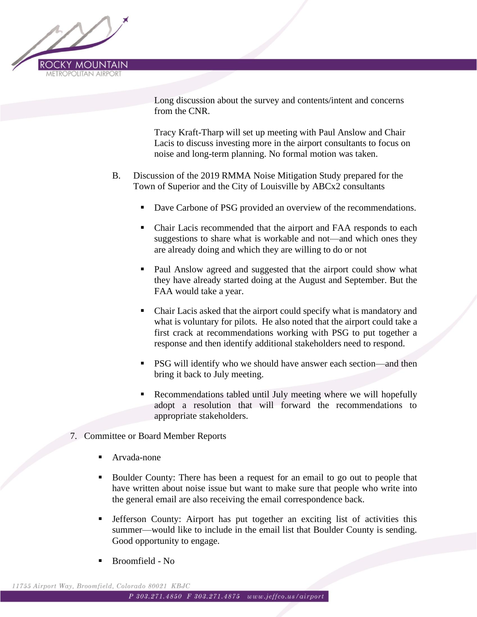

Long discussion about the survey and contents/intent and concerns from the CNR.

Tracy Kraft-Tharp will set up meeting with Paul Anslow and Chair Lacis to discuss investing more in the airport consultants to focus on noise and long-term planning. No formal motion was taken.

- B. Discussion of the 2019 RMMA Noise Mitigation Study prepared for the Town of Superior and the City of Louisville by ABCx2 consultants
	- Dave Carbone of PSG provided an overview of the recommendations.
	- Chair Lacis recommended that the airport and FAA responds to each suggestions to share what is workable and not—and which ones they are already doing and which they are willing to do or not
	- Paul Anslow agreed and suggested that the airport could show what they have already started doing at the August and September. But the FAA would take a year.
	- Chair Lacis asked that the airport could specify what is mandatory and what is voluntary for pilots. He also noted that the airport could take a first crack at recommendations working with PSG to put together a response and then identify additional stakeholders need to respond.
	- PSG will identify who we should have answer each section—and then bring it back to July meeting.
	- Recommendations tabled until July meeting where we will hopefully adopt a resolution that will forward the recommendations to appropriate stakeholders.
- 7. Committee or Board Member Reports
	- Arvada-none
	- Boulder County: There has been a request for an email to go out to people that have written about noise issue but want to make sure that people who write into the general email are also receiving the email correspondence back.
	- **•** Jefferson County: Airport has put together an exciting list of activities this summer—would like to include in the email list that Boulder County is sending. Good opportunity to engage.
	- Broomfield No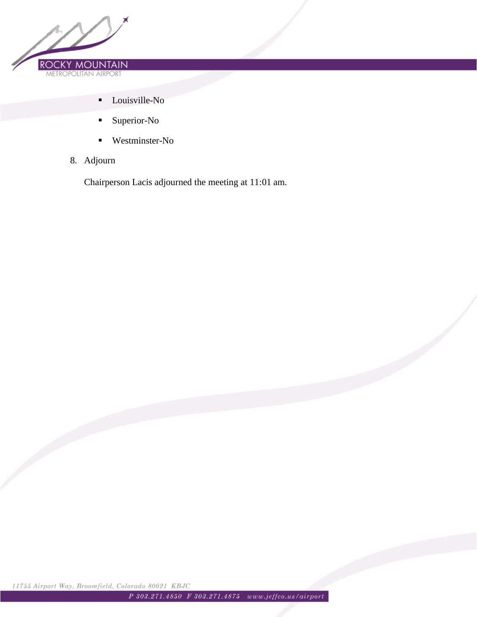

- Louisville-No
- Superior-No
- Westminster-No
- 8. Adjourn

Chairperson Lacis adjourned the meeting at 11:01 am.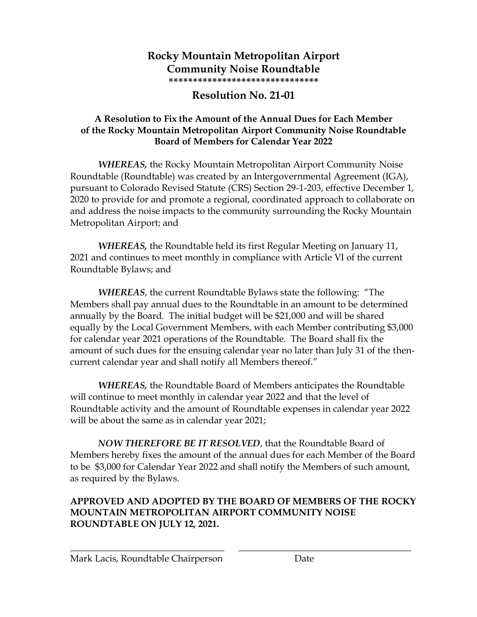### **Rocky Mountain Metropolitan Airport Community Noise Roundtable \*\*\*\*\*\*\*\*\*\*\*\*\*\*\*\*\*\*\*\*\*\*\*\*\*\*\*\*\*\*\***

# **Resolution No. 21-01**

## **A Resolution to Fix the Amount of the Annual Dues for Each Member of the Rocky Mountain Metropolitan Airport Community Noise Roundtable Board of Members for Calendar Year 2022**

*WHEREAS,* the Rocky Mountain Metropolitan Airport Community Noise Roundtable (Roundtable) was created by an Intergovernmental Agreement (IGA), pursuant to Colorado Revised Statute (CRS) Section 29-1-203, effective December 1, 2020 to provide for and promote a regional, coordinated approach to collaborate on and address the noise impacts to the community surrounding the Rocky Mountain Metropolitan Airport; and

*WHEREAS,* the Roundtable held its first Regular Meeting on January 11, 2021 and continues to meet monthly in compliance with Article VI of the current Roundtable Bylaws; and

*WHEREAS*, the current Roundtable Bylaws state the following: "The Members shall pay annual dues to the Roundtable in an amount to be determined annually by the Board. The initial budget will be \$21,000 and will be shared equally by the Local Government Members, with each Member contributing \$3,000 for calendar year 2021 operations of the Roundtable. The Board shall fix the amount of such dues for the ensuing calendar year no later than July 31 of the thencurrent calendar year and shall notify all Members thereof."

*WHEREAS,* the Roundtable Board of Members anticipates the Roundtable will continue to meet monthly in calendar year 2022 and that the level of Roundtable activity and the amount of Roundtable expenses in calendar year 2022 will be about the same as in calendar year 2021;

*NOW THEREFORE BE IT RESOLVED*, that the Roundtable Board of Members hereby fixes the amount of the annual dues for each Member of the Board to be \$3,000 for Calendar Year 2022 and shall notify the Members of such amount, as required by the Bylaws.

### **APPROVED AND ADOPTED BY THE BOARD OF MEMBERS OF THE ROCKY MOUNTAIN METROPOLITAN AIRPORT COMMUNITY NOISE ROUNDTABLE ON JULY 12, 2021.**

\_\_\_\_\_\_\_\_\_\_\_\_\_\_\_\_\_\_\_\_\_\_\_\_\_\_\_\_\_\_\_\_\_ \_\_\_\_\_\_\_\_\_\_\_\_\_\_\_\_\_\_\_\_\_\_\_\_\_\_\_\_\_\_\_\_\_\_\_\_\_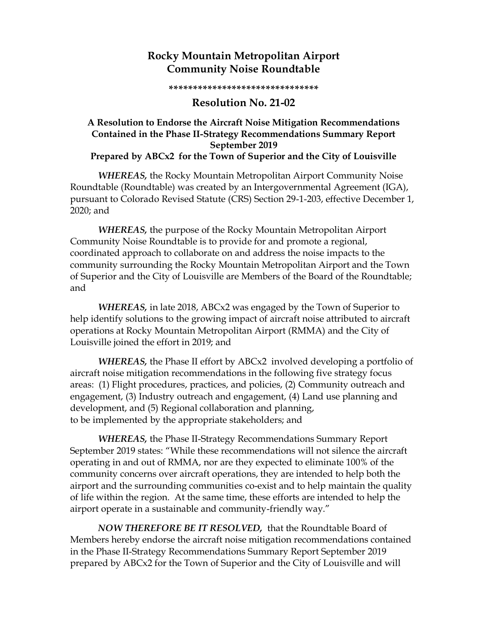# **Rocky Mountain Metropolitan Airport Community Noise Roundtable**

**\*\*\*\*\*\*\*\*\*\*\*\*\*\*\*\*\*\*\*\*\*\*\*\*\*\*\*\*\*\*\***

### **Resolution No. 21-02**

### **A Resolution to Endorse the Aircraft Noise Mitigation Recommendations Contained in the Phase II-Strategy Recommendations Summary Report September 2019 Prepared by ABCx2 for the Town of Superior and the City of Louisville**

*WHEREAS,* the Rocky Mountain Metropolitan Airport Community Noise Roundtable (Roundtable) was created by an Intergovernmental Agreement (IGA), pursuant to Colorado Revised Statute (CRS) Section 29-1-203, effective December 1, 2020; and

*WHEREAS,* the purpose of the Rocky Mountain Metropolitan Airport Community Noise Roundtable is to provide for and promote a regional, coordinated approach to collaborate on and address the noise impacts to the community surrounding the Rocky Mountain Metropolitan Airport and the Town of Superior and the City of Louisville are Members of the Board of the Roundtable; and

*WHEREAS,* in late 2018, ABCx2 was engaged by the Town of Superior to help identify solutions to the growing impact of aircraft noise attributed to aircraft operations at Rocky Mountain Metropolitan Airport (RMMA) and the City of Louisville joined the effort in 2019; and

*WHEREAS,* the Phase II effort by ABCx2 involved developing a portfolio of aircraft noise mitigation recommendations in the following five strategy focus areas: (1) Flight procedures, practices, and policies, (2) Community outreach and engagement, (3) Industry outreach and engagement, (4) Land use planning and development, and (5) Regional collaboration and planning, to be implemented by the appropriate stakeholders; and

*WHEREAS,* the Phase II-Strategy Recommendations Summary Report September 2019 states: "While these recommendations will not silence the aircraft operating in and out of RMMA, nor are they expected to eliminate 100% of the community concerns over aircraft operations, they are intended to help both the airport and the surrounding communities co-exist and to help maintain the quality of life within the region. At the same time, these efforts are intended to help the airport operate in a sustainable and community-friendly way."

*NOW THEREFORE BE IT RESOLVED,* that the Roundtable Board of Members hereby endorse the aircraft noise mitigation recommendations contained in the Phase II-Strategy Recommendations Summary Report September 2019 prepared by ABCx2 for the Town of Superior and the City of Louisville and will